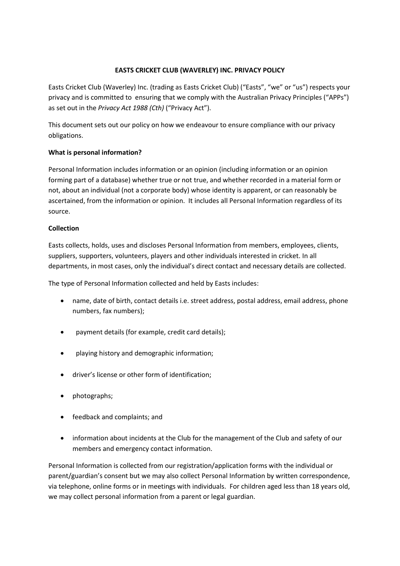## **EASTS CRICKET CLUB (WAVERLEY) INC. PRIVACY POLICY**

Easts Cricket Club (Waverley) Inc. (trading as Easts Cricket Club) ("Easts", "we" or "us") respects your privacy and is committed to ensuring that we comply with the Australian Privacy Principles ("APPs") as set out in the *Privacy Act 1988 (Cth)* ("Privacy Act").

This document sets out our policy on how we endeavour to ensure compliance with our privacy obligations.

## **What is personal information?**

Personal Information includes information or an opinion (including information or an opinion forming part of a database) whether true or not true, and whether recorded in a material form or not, about an individual (not a corporate body) whose identity is apparent, or can reasonably be ascertained, from the information or opinion. It includes all Personal Information regardless of its source.

### **Collection**

Easts collects, holds, uses and discloses Personal Information from members, employees, clients, suppliers, supporters, volunteers, players and other individuals interested in cricket. In all departments, in most cases, only the individual's direct contact and necessary details are collected.

The type of Personal Information collected and held by Easts includes:

- name, date of birth, contact details i.e. street address, postal address, email address, phone numbers, fax numbers);
- payment details (for example, credit card details);
- playing history and demographic information;
- driver's license or other form of identification;
- photographs;
- feedback and complaints; and
- information about incidents at the Club for the management of the Club and safety of our members and emergency contact information.

Personal Information is collected from our registration/application forms with the individual or parent/guardian's consent but we may also collect Personal Information by written correspondence, via telephone, online forms or in meetings with individuals. For children aged less than 18 years old, we may collect personal information from a parent or legal guardian.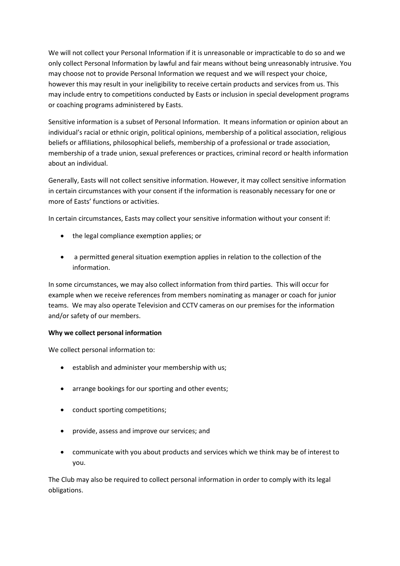We will not collect your Personal Information if it is unreasonable or impracticable to do so and we only collect Personal Information by lawful and fair means without being unreasonably intrusive. You may choose not to provide Personal Information we request and we will respect your choice, however this may result in your ineligibility to receive certain products and services from us. This may include entry to competitions conducted by Easts or inclusion in special development programs or coaching programs administered by Easts.

Sensitive information is a subset of Personal Information. It means information or opinion about an individual's racial or ethnic origin, political opinions, membership of a political association, religious beliefs or affiliations, philosophical beliefs, membership of a professional or trade association, membership of a trade union, sexual preferences or practices, criminal record or health information about an individual.

Generally, Easts will not collect sensitive information. However, it may collect sensitive information in certain circumstances with your consent if the information is reasonably necessary for one or more of Easts' functions or activities.

In certain circumstances, Easts may collect your sensitive information without your consent if:

- the legal compliance exemption applies; or
- a permitted general situation exemption applies in relation to the collection of the information.

In some circumstances, we may also collect information from third parties. This will occur for example when we receive references from members nominating as manager or coach for junior teams. We may also operate Television and CCTV cameras on our premises for the information and/or safety of our members.

## **Why we collect personal information**

We collect personal information to:

- **e** establish and administer your membership with us;
- arrange bookings for our sporting and other events;
- conduct sporting competitions;
- provide, assess and improve our services; and
- communicate with you about products and services which we think may be of interest to you.

The Club may also be required to collect personal information in order to comply with its legal obligations.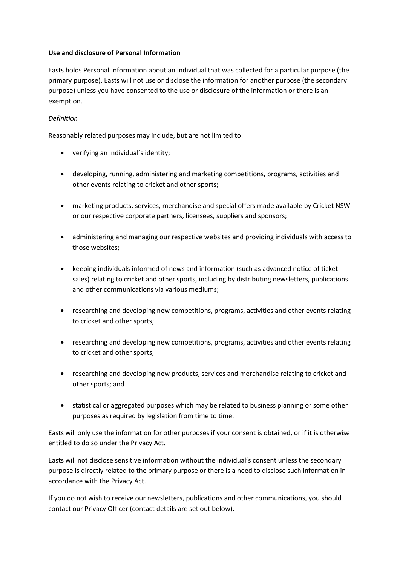### **Use and disclosure of Personal Information**

Easts holds Personal Information about an individual that was collected for a particular purpose (the primary purpose). Easts will not use or disclose the information for another purpose (the secondary purpose) unless you have consented to the use or disclosure of the information or there is an exemption.

# *Definition*

Reasonably related purposes may include, but are not limited to:

- verifying an individual's identity;
- developing, running, administering and marketing competitions, programs, activities and other events relating to cricket and other sports;
- marketing products, services, merchandise and special offers made available by Cricket NSW or our respective corporate partners, licensees, suppliers and sponsors;
- administering and managing our respective websites and providing individuals with access to those websites;
- keeping individuals informed of news and information (such as advanced notice of ticket sales) relating to cricket and other sports, including by distributing newsletters, publications and other communications via various mediums;
- researching and developing new competitions, programs, activities and other events relating to cricket and other sports;
- researching and developing new competitions, programs, activities and other events relating to cricket and other sports;
- researching and developing new products, services and merchandise relating to cricket and other sports; and
- statistical or aggregated purposes which may be related to business planning or some other purposes as required by legislation from time to time.

Easts will only use the information for other purposes if your consent is obtained, or if it is otherwise entitled to do so under the Privacy Act.

Easts will not disclose sensitive information without the individual's consent unless the secondary purpose is directly related to the primary purpose or there is a need to disclose such information in accordance with the Privacy Act.

If you do not wish to receive our newsletters, publications and other communications, you should contact our Privacy Officer (contact details are set out below).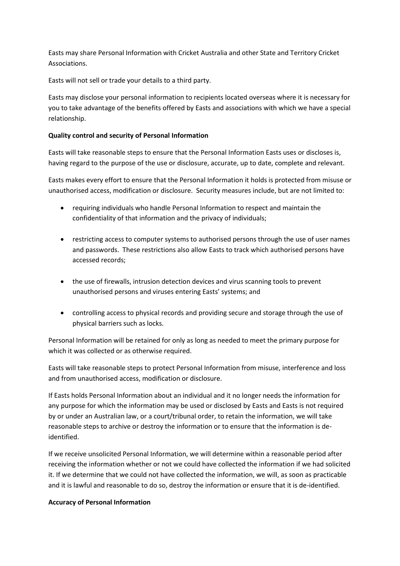Easts may share Personal Information with Cricket Australia and other State and Territory Cricket Associations.

Easts will not sell or trade your details to a third party.

Easts may disclose your personal information to recipients located overseas where it is necessary for you to take advantage of the benefits offered by Easts and associations with which we have a special relationship.

# **Quality control and security of Personal Information**

Easts will take reasonable steps to ensure that the Personal Information Easts uses or discloses is, having regard to the purpose of the use or disclosure, accurate, up to date, complete and relevant.

Easts makes every effort to ensure that the Personal Information it holds is protected from misuse or unauthorised access, modification or disclosure. Security measures include, but are not limited to:

- requiring individuals who handle Personal Information to respect and maintain the confidentiality of that information and the privacy of individuals;
- restricting access to computer systems to authorised persons through the use of user names and passwords. These restrictions also allow Easts to track which authorised persons have accessed records;
- the use of firewalls, intrusion detection devices and virus scanning tools to prevent unauthorised persons and viruses entering Easts' systems; and
- controlling access to physical records and providing secure and storage through the use of physical barriers such as locks.

Personal Information will be retained for only as long as needed to meet the primary purpose for which it was collected or as otherwise required.

Easts will take reasonable steps to protect Personal Information from misuse, interference and loss and from unauthorised access, modification or disclosure.

If Easts holds Personal Information about an individual and it no longer needs the information for any purpose for which the information may be used or disclosed by Easts and Easts is not required by or under an Australian law, or a court/tribunal order, to retain the information, we will take reasonable steps to archive or destroy the information or to ensure that the information is deidentified.

If we receive unsolicited Personal Information, we will determine within a reasonable period after receiving the information whether or not we could have collected the information if we had solicited it. If we determine that we could not have collected the information, we will, as soon as practicable and it is lawful and reasonable to do so, destroy the information or ensure that it is de-identified.

## **Accuracy of Personal Information**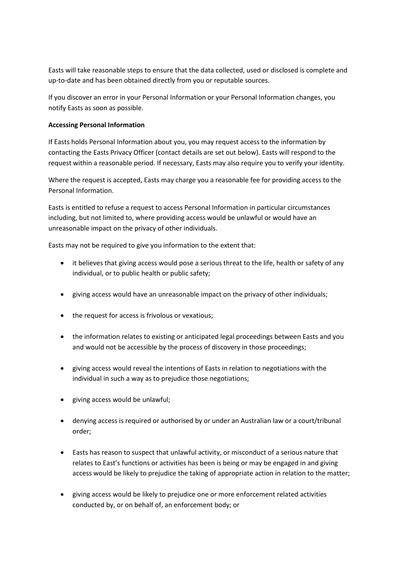Easts will take reasonable steps to ensure that the data collected, used or disclosed is complete and up-to-date and has been obtained directly from you or reputable sources.

If you discover an error in your Personal Information or your Personal Information changes, you notify Easts as soon as possible.

### **Accessing Personal Information**

If Easts holds Personal Information about you, you may request access to the information by contacting the Easts Privacy Officer (contact details are set out below). Easts will respond to the request within a reasonable period. If necessary, Easts may also require you to verify your identity.

Where the request is accepted, Easts may charge you a reasonable fee for providing access to the Personal Information.

Easts is entitled to refuse a request to access Personal Information in particular circumstances including, but not limited to, where providing access would be unlawful or would have an unreasonable impact on the privacy of other individuals.

Easts may not be required to give you information to the extent that:

- it believes that giving access would pose a serious threat to the life, health or safety of any individual, or to public health or public safety;
- giving access would have an unreasonable impact on the privacy of other individuals;
- the request for access is frivolous or vexatious;
- the information relates to existing or anticipated legal proceedings between Easts and you and would not be accessible by the process of discovery in those proceedings;
- giving access would reveal the intentions of Easts in relation to negotiations with the individual in such a way as to prejudice those negotiations;
- giving access would be unlawful;
- denying access is required or authorised by or under an Australian law or a court/tribunal order;
- Easts has reason to suspect that unlawful activity, or misconduct of a serious nature that relates to East's functions or activities has been is being or may be engaged in and giving access would be likely to prejudice the taking of appropriate action in relation to the matter;
- giving access would be likely to prejudice one or more enforcement related activities conducted by, or on behalf of, an enforcement body; or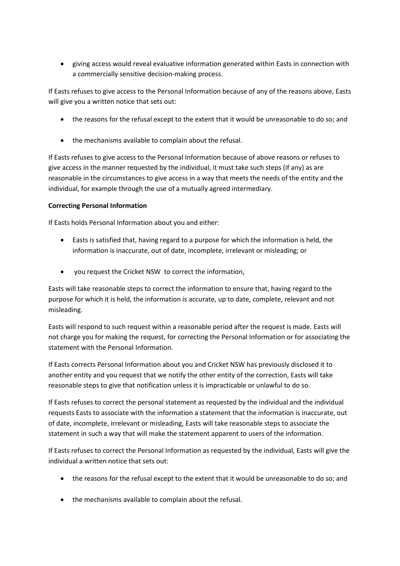giving access would reveal evaluative information generated within Easts in connection with a commercially sensitive decision-making process.

If Easts refuses to give access to the Personal Information because of any of the reasons above, Easts will give you a written notice that sets out:

- the reasons for the refusal except to the extent that it would be unreasonable to do so; and
- the mechanisms available to complain about the refusal.

If Easts refuses to give access to the Personal Information because of above reasons or refuses to give access in the manner requested by the individual, it must take such steps (if any) as are reasonable in the circumstances to give access in a way that meets the needs of the entity and the individual, for example through the use of a mutually agreed intermediary.

### **Correcting Personal Information**

If Easts holds Personal Information about you and either:

- Easts is satisfied that, having regard to a purpose for which the information is held, the information is inaccurate, out of date, incomplete, irrelevant or misleading; or
- you request the Cricket NSW to correct the information,

Easts will take reasonable steps to correct the information to ensure that, having regard to the purpose for which it is held, the information is accurate, up to date, complete, relevant and not misleading.

Easts will respond to such request within a reasonable period after the request is made. Easts will not charge you for making the request, for correcting the Personal Information or for associating the statement with the Personal Information.

If Easts corrects Personal Information about you and Cricket NSW has previously disclosed it to another entity and you request that we notify the other entity of the correction, Easts will take reasonable steps to give that notification unless it is impracticable or unlawful to do so.

If Easts refuses to correct the personal statement as requested by the individual and the individual requests Easts to associate with the information a statement that the information is inaccurate, out of date, incomplete, irrelevant or misleading, Easts will take reasonable steps to associate the statement in such a way that will make the statement apparent to users of the information.

If Easts refuses to correct the Personal Information as requested by the individual, Easts will give the individual a written notice that sets out:

- the reasons for the refusal except to the extent that it would be unreasonable to do so; and
- the mechanisms available to complain about the refusal.